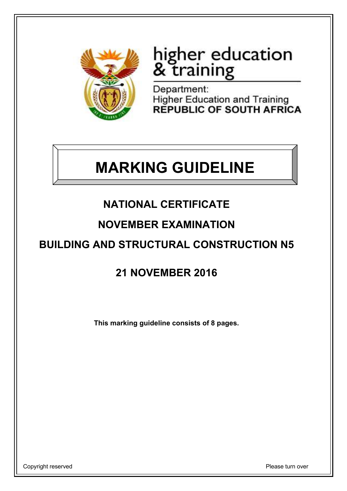

# higher education<br>& training

Department: Higher Education and Training<br>REPUBLIC OF SOUTH AFRICA

## **MARKING GUIDELINE**

## **NATIONAL CERTIFICATE**

## **NOVEMBER EXAMINATION**

## **BUILDING AND STRUCTURAL CONSTRUCTION N5**

## **21 NOVEMBER 2016**

**This marking guideline consists of 8 pages.**

Copyright reserved **Please** turn over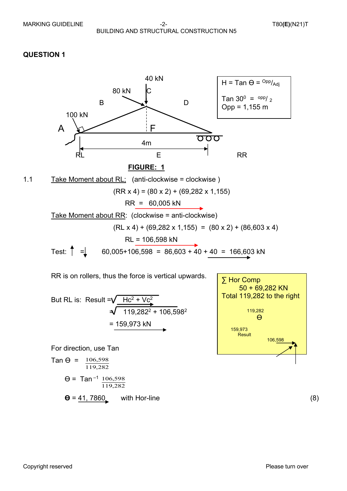

But RL is: Result = 
$$
\sqrt{\frac{Hc^2 + VC^2}{119,282^2 + 106,598^2}}
$$
  
= 159,973 kN

For direction, use Tan

$$
\tan \Theta = \frac{106,598}{119,282}
$$
\n
$$
\Theta = \tan^{-1} \frac{106,598}{119,282}
$$
\n
$$
\Theta = \frac{41,7860}{119,282}
$$
\nwith Hor-line\n(8)

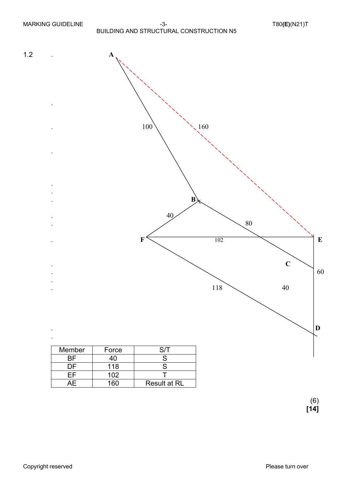

**[14]**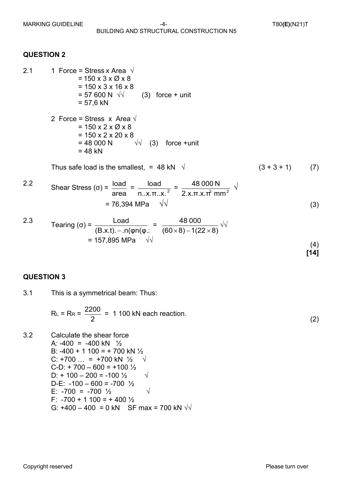- 2.1 1 Force = Stress x Area  $\sqrt{ }$  $= 150 \times 3 \times \emptyset \times 8$ = 150 x 3 x 16 x 8<br>= 57 600 N  $\sqrt{2}$  $(3)$  force + unit  $= 57.6$  kN
	- 2 Force = Stress x Area  $\sqrt{ }$  $= 150 \times 2 \times \emptyset \times 8$  $= 150 \times 2 \times 20 \times 8$  $= 48 000 N$   $\sqrt{10}$  (3) force +unit  $= 48$  kN

Thus safe load is the smallest, = 48 kN  $\sqrt{(3 + 3 + 1)}$  (7)

2.2 Shear Stress (σ) = 
$$
\frac{\text{load}}{\text{area}} = \frac{\text{load}}{\text{n.x.m.x.}^2} = \frac{48\,000\,\text{N}}{2.x.m.x\text{ if mm}^2} \sqrt{\text{Var}^2} = 76,394\,\text{MPa} \sqrt{\text{Var}^2} \tag{3}
$$

2.3 
$$
\text{Tearing } (\sigma) = \frac{\text{Load}}{(\text{B.x.t}) - \text{ln}(\phi \text{n}(\phi))} = \frac{48\,000}{(60 \times 8) - 1(22 \times 8)} \sqrt{10} = 157,895 \text{ MPa} \quad \sqrt{10} \tag{4}
$$

#### **QUESTION 3**

3.1 This is a symmetrical beam: Thus:

$$
R_{L} = R_{R} = \frac{2200}{2} = 1100 \text{ kN each reaction.}
$$
 (2)

3.2 Calculate the shear force A:  $-400 = -400$  kN  $\frac{1}{2}$ B:  $-400 + 1100 = +700$  kN  $\frac{1}{2}$ C: +700 … = +700 kN ½  $\sqrt{ }$  $C-D: +700 - 600 = +100\frac{1}{2}$ D:  $+ 100 - 200 = -100 \frac{1}{2} \sqrt{100}$ D-E:  $-100 - 600 = -700$  <sup>1</sup>/<sub>2</sub> E: -700 = -700  $\frac{1}{2}$   $\sqrt{2}$ F:  $-700 + 1100 = +400\frac{1}{2}$ G:  $+400 - 400 = 0$  kN SF max = 700 kN  $\sqrt{\sqrt{}}$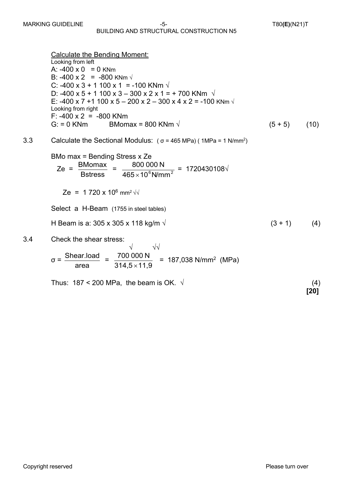#### BUILDING AND STRUCTURAL CONSTRUCTION N5

Calculate the Bending Moment: Looking from left A:  $-400 \times 0 = 0$  KNm B:  $-400 \times 2 = -800$  KNm  $\sqrt{ }$ C: -400 x 3 + 1 100 x 1 = -100 KNm  $\sqrt{ }$ D: -400 x 5 + 1 100 x 3 – 300 x 2 x 1 = + 700 KNm  $\sqrt{ }$ E: -400 x 7 +1 100 x 5 – 200 x 2 – 300 x 4 x 2 = -100 KNm √ Looking from right F:  $-400 \times 2 = -800$  KNm G: = 0 KNm BMomax = 800 KNm  $\sqrt{(5 + 5)}$  (10) 3.3 Calculate the Sectional Modulus:  $(\sigma = 465 \text{ MPa})$  (1MPa = 1 N/mm<sup>2</sup>) BMo max = Bending Stress x Ze Ze = = = 1720430108√ Ze = 1 720 x 10<sup>6</sup> mm<sup>2</sup>  $\sqrt{2}$ Select a H-Beam (1755 in steel tables) H Beam is a: 305 x 305 x 118 kg/m  $\sqrt{ }$  (3 + 1) (4) 3.4 Check the shear stress: √ √√  $= 187,038$  N/mm<sup>2</sup> (MPa) Thus:  $187 < 200$  MPa, the beam is OK.  $\sqrt{ }$  (4) **Bstress** BMomax \_ 800 000 N  $465\times$ 10 $^{6}$ N/mm $^{2}$ area  $\sigma = \frac{\text{Shear.load}}{\sigma}$  $314,5 \times 11,9$ 700 000 N  $\times$ 

**[20]**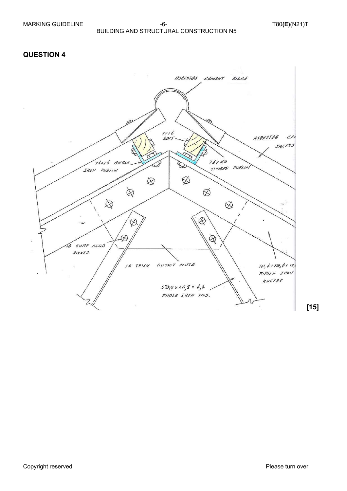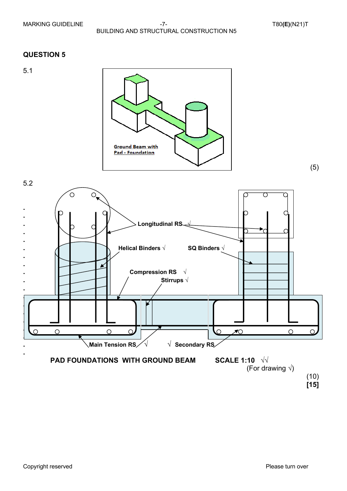